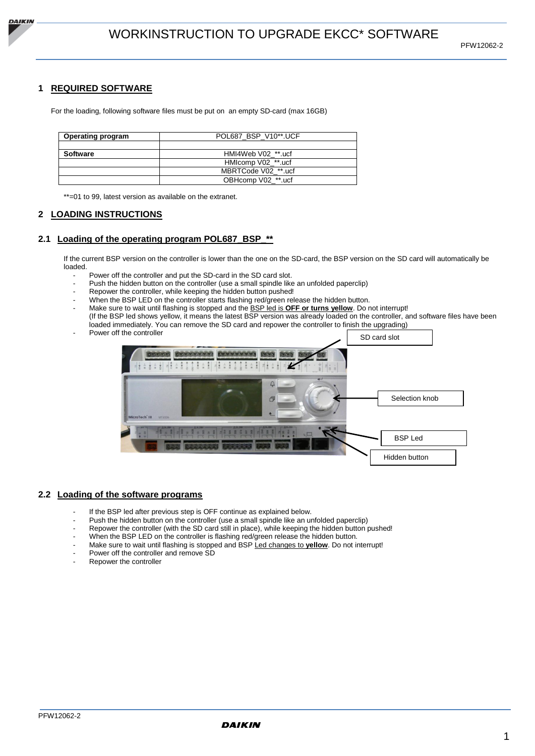

## **1 REQUIRED SOFTWARE**

For the loading, following software files must be put on an empty SD-card (max 16GB)

| <b>Operating program</b> | POL687 BSP V10**.UCF |  |
|--------------------------|----------------------|--|
|                          |                      |  |
| <b>Software</b>          | HMI4Web V02 **.ucf   |  |
|                          | HMIcomp V02 **.ucf   |  |
|                          | MBRTCode V02 **.ucf  |  |
|                          | OBHcomp V02_**.ucf   |  |

\*\*=01 to 99, latest version as available on the extranet.

## **2 LOADING INSTRUCTIONS**

### **2.1 Loading of the operating program POL687\_BSP\_\*\***

If the current BSP version on the controller is lower than the one on the SD-card, the BSP version on the SD card will automatically be loaded.

- Power off the controller and put the SD-card in the SD card slot.
- Push the hidden button on the controller (use a small spindle like an unfolded paperclip)
- Repower the controller, while keeping the hidden button pushed!
- When the BSP LED on the controller starts flashing red/green release the hidden button.
- Make sure to wait until flashing is stopped and the BSP led is **OFF or turns yellow**. Do not interrupt! (If the BSP led shows yellow, it means the latest BSP version was already loaded on the controller, and software files have been loaded immediately. You can remove the SD card and repower the controller to finish the upgrading)
- Power off the controller



#### **2.2 Loading of the software programs**

- If the BSP led after previous step is OFF continue as explained below.
- Push the hidden button on the controller (use a small spindle like an unfolded paperclip)
- Repower the controller (with the SD card still in place), while keeping the hidden button pushed!
- When the BSP LED on the controller is flashing red/green release the hidden button.
- Make sure to wait until flashing is stopped and BSP Led changes to **yellow**. Do not interrupt!
- Power off the controller and remove SD
- Repower the controller